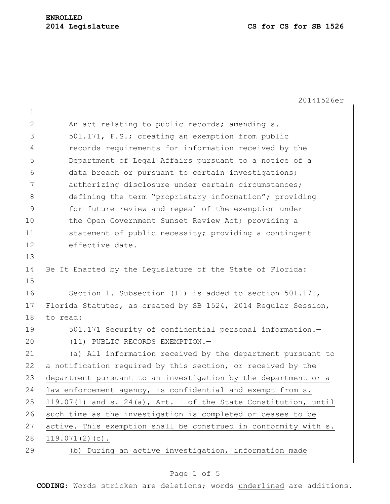20141526er

| $\mathbf 1$  |                                                                 |
|--------------|-----------------------------------------------------------------|
| $\mathbf{2}$ | An act relating to public records; amending s.                  |
| 3            | 501.171, F.S.; creating an exemption from public                |
| 4            | records requirements for information received by the            |
| 5            | Department of Legal Affairs pursuant to a notice of a           |
| 6            | data breach or pursuant to certain investigations;              |
| 7            | authorizing disclosure under certain circumstances;             |
| 8            | defining the term "proprietary information"; providing          |
| 9            | for future review and repeal of the exemption under             |
| 10           | the Open Government Sunset Review Act; providing a              |
| 11           | statement of public necessity; providing a contingent           |
| 12           | effective date.                                                 |
| 13           |                                                                 |
| 14           | Be It Enacted by the Legislature of the State of Florida:       |
| 15           |                                                                 |
| 16           | Section 1. Subsection (11) is added to section 501.171,         |
| 17           | Florida Statutes, as created by SB 1524, 2014 Regular Session,  |
| 18           | to read:                                                        |
| 19           | 501.171 Security of confidential personal information.-         |
| 20           | (11) PUBLIC RECORDS EXEMPTION.-                                 |
| 21           | (a) All information received by the department pursuant to      |
| 22           | a notification required by this section, or received by the     |
| 23           | department pursuant to an investigation by the department or a  |
| 24           | law enforcement agency, is confidential and exempt from s.      |
| 25           | 119.07(1) and s. 24(a), Art. I of the State Constitution, until |
| 26           | such time as the investigation is completed or ceases to be     |
| 27           | active. This exemption shall be construed in conformity with s. |
| 28           | $119.071(2)(c)$ .                                               |
| 29           | (b) During an active investigation, information made            |

# Page 1 of 5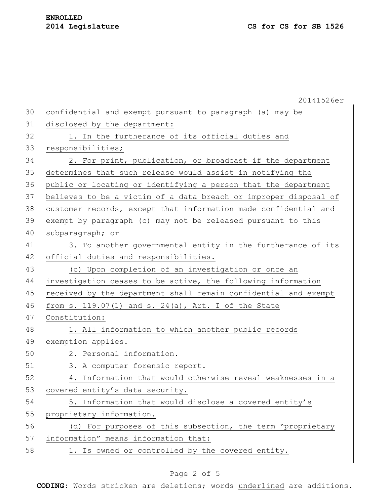|    | 20141526er                                                       |
|----|------------------------------------------------------------------|
| 30 | confidential and exempt pursuant to paragraph (a) may be         |
| 31 | disclosed by the department:                                     |
| 32 | 1. In the furtherance of its official duties and                 |
| 33 | responsibilities;                                                |
| 34 | 2. For print, publication, or broadcast if the department        |
| 35 | determines that such release would assist in notifying the       |
| 36 | public or locating or identifying a person that the department   |
| 37 | believes to be a victim of a data breach or improper disposal of |
| 38 | customer records, except that information made confidential and  |
| 39 | exempt by paragraph (c) may not be released pursuant to this     |
| 40 | subparagraph; or                                                 |
| 41 | 3. To another governmental entity in the furtherance of its      |
| 42 | official duties and responsibilities.                            |
| 43 | (c) Upon completion of an investigation or once an               |
| 44 | investigation ceases to be active, the following information     |
| 45 | received by the department shall remain confidential and exempt  |
| 46 | from s. 119.07(1) and s. 24(a), Art. I of the State              |
| 47 | Constitution:                                                    |
| 48 | 1. All information to which another public records               |
| 49 | exemption applies.                                               |
| 50 | 2. Personal information.                                         |
| 51 | 3. A computer forensic report.                                   |
| 52 | 4. Information that would otherwise reveal weaknesses in a       |
| 53 | covered entity's data security.                                  |
| 54 | 5. Information that would disclose a covered entity's            |
| 55 | proprietary information.                                         |
| 56 | (d) For purposes of this subsection, the term "proprietary       |
| 57 | information" means information that:                             |
| 58 | 1. Is owned or controlled by the covered entity.                 |
|    |                                                                  |

# Page 2 of 5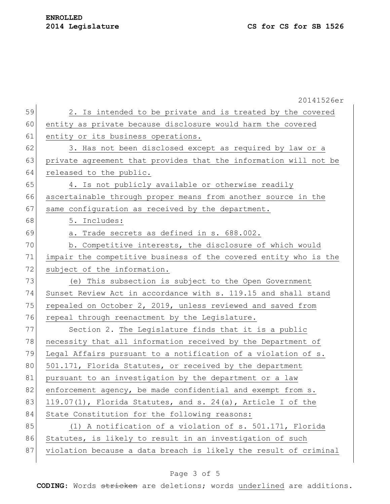|    | 20141526er                                                       |
|----|------------------------------------------------------------------|
| 59 | 2. Is intended to be private and is treated by the covered       |
| 60 | entity as private because disclosure would harm the covered      |
| 61 | entity or its business operations.                               |
| 62 | 3. Has not been disclosed except as required by law or a         |
| 63 | private agreement that provides that the information will not be |
| 64 | released to the public.                                          |
| 65 | 4. Is not publicly available or otherwise readily                |
| 66 | ascertainable through proper means from another source in the    |
| 67 | same configuration as received by the department.                |
| 68 | 5. Includes:                                                     |
| 69 | a. Trade secrets as defined in s. 688.002.                       |
| 70 | b. Competitive interests, the disclosure of which would          |
| 71 | impair the competitive business of the covered entity who is the |
| 72 | subject of the information.                                      |
| 73 | (e) This subsection is subject to the Open Government            |
| 74 | Sunset Review Act in accordance with s. 119.15 and shall stand   |
| 75 | repealed on October 2, 2019, unless reviewed and saved from      |
| 76 | repeal through reenactment by the Legislature.                   |
| 77 | Section 2. The Legislature finds that it is a public             |
| 78 | necessity that all information received by the Department of     |
| 79 | Legal Affairs pursuant to a notification of a violation of s.    |
| 80 | 501.171, Florida Statutes, or received by the department         |
| 81 | pursuant to an investigation by the department or a law          |
| 82 | enforcement agency, be made confidential and exempt from s.      |
| 83 | 119.07(1), Florida Statutes, and s. 24(a), Article I of the      |
| 84 | State Constitution for the following reasons:                    |
| 85 | (1) A notification of a violation of s. 501.171, Florida         |
| 86 | Statutes, is likely to result in an investigation of such        |
| 87 | violation because a data breach is likely the result of criminal |
|    |                                                                  |

# Page 3 of 5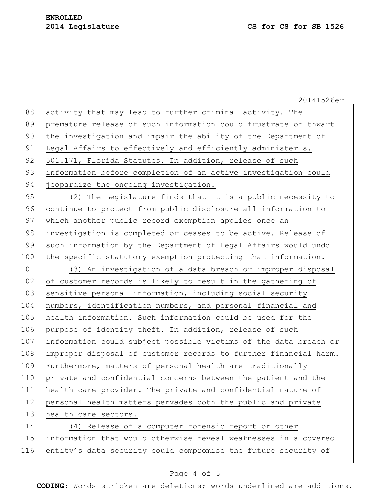20141526er 88 activity that may lead to further criminal activity. The 89 premature release of such information could frustrate or thwart 90 the investigation and impair the ability of the Department of 91 Legal Affairs to effectively and efficiently administer s. 92 501.171, Florida Statutes. In addition, release of such 93 information before completion of an active investigation could 94 jeopardize the ongoing investigation. 95 (2) The Legislature finds that it is a public necessity to 96 continue to protect from public disclosure all information to 97 which another public record exemption applies once an 98 investigation is completed or ceases to be active. Release of 99 such information by the Department of Legal Affairs would undo 100 the specific statutory exemption protecting that information. 101 (3) An investigation of a data breach or improper disposal 102 of customer records is likely to result in the gathering of 103 sensitive personal information, including social security 104 numbers, identification numbers, and personal financial and 105 health information. Such information could be used for the 106 purpose of identity theft. In addition, release of such 107 information could subject possible victims of the data breach or 108 improper disposal of customer records to further financial harm. 109 Furthermore, matters of personal health are traditionally 110 private and confidential concerns between the patient and the 111 health care provider. The private and confidential nature of 112 personal health matters pervades both the public and private 113 health care sectors. 114 (4) Release of a computer forensic report or other 115 information that would otherwise reveal weaknesses in a covered 116 entity's data security could compromise the future security of

### Page 4 of 5